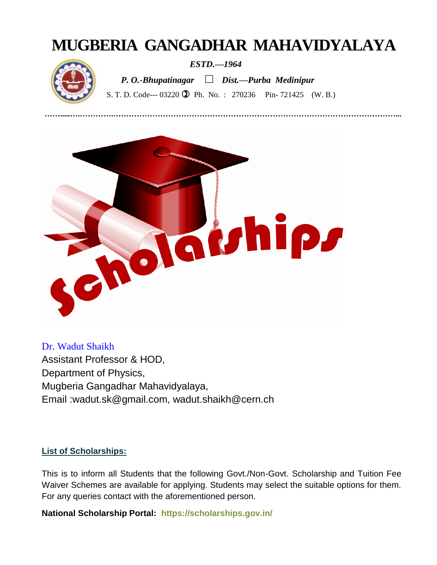# **MUGBERIA GANGADHAR MAHAVIDYALAYA**



 *ESTD.—1964*

 *P. O.-Bhupatinagar □ Dist.—Purba Medinipur*

S. T. D. Code--- 03220 **1** Ph. No. : 270236 Pin- 721425 (W. B.)

**…….....….………….………………………………………………………………………………………………...**



Dr. Wadut Shaikh Assistant Professor & HOD, Department of Physics, Mugberia Gangadhar Mahavidyalaya, Email :wadut.sk@gmail.com, wadut.shaikh@cern.ch

### **List of Scholarships:**

This is to inform all Students that the following Govt./Non-Govt. Scholarship and Tuition Fee Waiver Schemes are available for applying. Students may select the suitable options for them. For any queries contact with the aforementioned person.

**National Scholarship Portal: <https://scholarships.gov.in/>**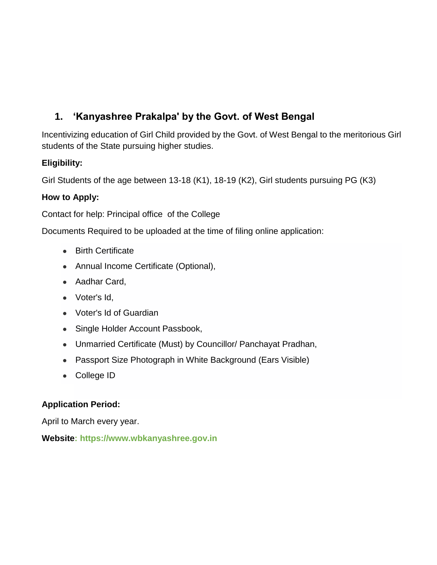# **1. 'Kanyashree Prakalpa' by the Govt. of West Bengal**

Incentivizing education of Girl Child provided by the Govt. of West Bengal to the meritorious Girl students of the State pursuing higher studies.

### **Eligibility:**

Girl Students of the age between 13-18 (K1), 18-19 (K2), Girl students pursuing PG (K3)

### **How to Apply:**

Contact for help: Principal office of the College

Documents Required to be uploaded at the time of filing online application:

- Birth Certificate
- Annual Income Certificate (Optional),
- Aadhar Card,
- Voter's Id,
- Voter's Id of Guardian
- Single Holder Account Passbook,
- Unmarried Certificate (Must) by Councillor/ Panchayat Pradhan,
- Passport Size Photograph in White Background (Ears Visible)
- College ID

### **Application Period:**

April to March every year.

**Website: [https://www.wbkanyashree.gov.in](https://www.wbkanyashree.gov.in/)**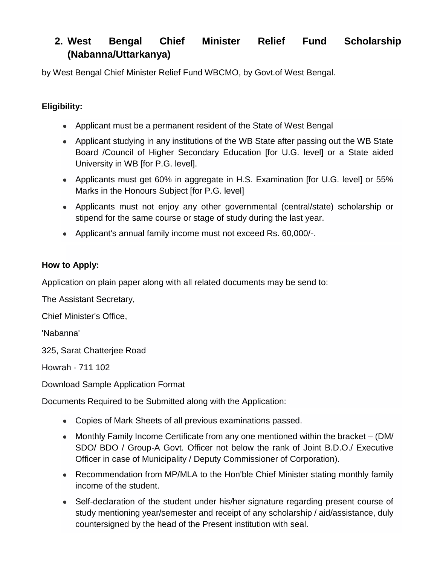# **2. West Bengal Chief Minister Relief Fund Scholarship (Nabanna/Uttarkanya)**

by West Bengal Chief Minister Relief Fund WBCMO, by Govt.of West Bengal.

### **Eligibility:**

- Applicant must be a permanent resident of the State of West Bengal
- Applicant studying in any institutions of the WB State after passing out the WB State Board /Council of Higher Secondary Education [for U.G. level] or a State aided University in WB [for P.G. level].
- Applicants must get 60% in aggregate in H.S. Examination [for U.G. level] or 55% Marks in the Honours Subject [for P.G. level]
- Applicants must not enjoy any other governmental (central/state) scholarship or stipend for the same course or stage of study during the last year.
- Applicant's annual family income must not exceed Rs. 60,000/-.

### **How to Apply:**

Application on plain paper along with all related documents may be send to:

The Assistant Secretary,

Chief Minister's Office,

'Nabanna'

325, Sarat Chatterjee Road

Howrah - 711 102

Download Sample Application Format

Documents Required to be Submitted along with the Application:

- Copies of Mark Sheets of all previous examinations passed.
- Monthly Family Income Certificate from any one mentioned within the bracket  $-$  (DM/ SDO/ BDO / Group-A Govt. Officer not below the rank of Joint B.D.O./ Executive Officer in case of Municipality / Deputy Commissioner of Corporation).
- Recommendation from MP/MLA to the Hon'ble Chief Minister stating monthly family income of the student.
- Self-declaration of the student under his/her signature regarding present course of study mentioning year/semester and receipt of any scholarship / aid/assistance, duly countersigned by the head of the Present institution with seal.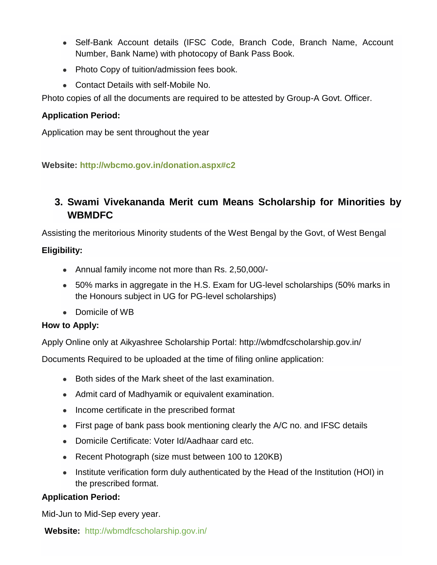- Self-Bank Account details (IFSC Code, Branch Code, Branch Name, Account Number, Bank Name) with photocopy of Bank Pass Book.
- Photo Copy of tuition/admission fees book.
- Contact Details with self-Mobile No.

Photo copies of all the documents are required to be attested by Group-A Govt. Officer.

### **Application Period:**

Application may be sent throughout the year

### **Website:<http://wbcmo.gov.in/donation.aspx#c2>**

# **3. Swami Vivekananda Merit cum Means Scholarship for Minorities by WBMDFC**

Assisting the meritorious Minority students of the West Bengal by the Govt, of West Bengal

### **Eligibility:**

- Annual family income not more than Rs. 2,50,000/-
- 50% marks in aggregate in the H.S. Exam for UG-level scholarships (50% marks in the Honours subject in UG for PG-level scholarships)
- Domicile of WB

### **How to Apply:**

Apply Online only at Aikyashree Scholarship Portal:<http://wbmdfcscholarship.gov.in/>

Documents Required to be uploaded at the time of filing online application:

- Both sides of the Mark sheet of the last examination.
- Admit card of Madhyamik or equivalent examination.
- Income certificate in the prescribed format
- First page of bank pass book mentioning clearly the A/C no. and IFSC details
- Domicile Certificate: Voter Id/Aadhaar card etc.
- Recent Photograph (size must between 100 to 120KB)
- Institute verification form duly authenticated by the Head of the Institution (HOI) in the prescribed format.

### **Application Period:**

Mid-Jun to Mid-Sep every year.

**Website:** <http://wbmdfcscholarship.gov.in/>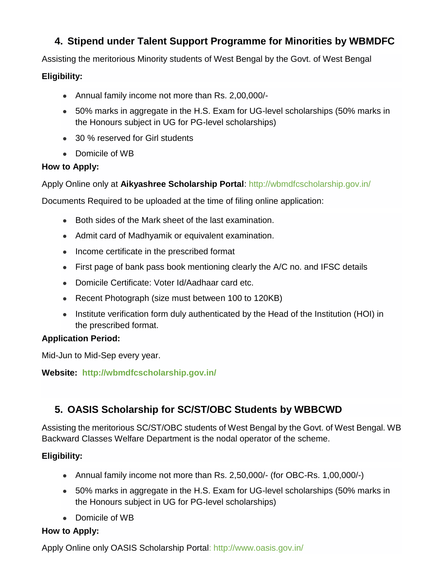# **4. Stipend under Talent Support Programme for Minorities by WBMDFC**

Assisting the meritorious Minority students of West Bengal by the Govt. of West Bengal

### **Eligibility:**

- Annual family income not more than Rs. 2,00,000/-
- 50% marks in aggregate in the H.S. Exam for UG-level scholarships (50% marks in the Honours subject in UG for PG-level scholarships)
- 30 % reserved for Girl students
- Domicile of WB

### **How to Apply:**

Apply Online only at **Aikyashree Scholarship Portal**:<http://wbmdfcscholarship.gov.in/>

Documents Required to be uploaded at the time of filing online application:

- Both sides of the Mark sheet of the last examination.
- Admit card of Madhyamik or equivalent examination.
- Income certificate in the prescribed format
- First page of bank pass book mentioning clearly the A/C no. and IFSC details
- Domicile Certificate: Voter Id/Aadhaar card etc.
- Recent Photograph (size must between 100 to 120KB)
- Institute verification form duly authenticated by the Head of the Institution (HOI) in the prescribed format.

### **Application Period:**

Mid-Jun to Mid-Sep every year.

**Website: <http://wbmdfcscholarship.gov.in/>**

# **5. OASIS Scholarship for SC/ST/OBC Students by WBBCWD**

Assisting the meritorious SC/ST/OBC students of West Bengal by the Govt. of West Bengal. WB Backward Classes Welfare Department is the nodal operator of the scheme.

### **Eligibility:**

- Annual family income not more than Rs. 2,50,000/- (for OBC-Rs. 1,00,000/-)
- 50% marks in aggregate in the H.S. Exam for UG-level scholarships (50% marks in the Honours subject in UG for PG-level scholarships)
- Domicile of WB

### **How to Apply:**

Apply Online only OASIS Scholarship Portal:<http://www.oasis.gov.in/>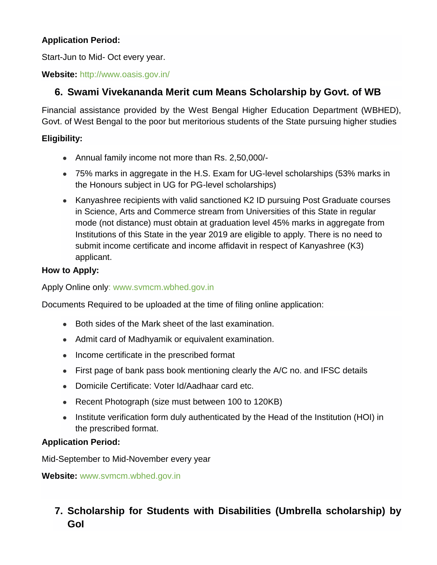### **Application Period:**

Start-Jun to Mid- Oct every year.

**Website:** <http://www.oasis.gov.in/>

# **6. Swami Vivekananda Merit cum Means Scholarship by Govt. of WB**

Financial assistance provided by the West Bengal Higher Education Department (WBHED), Govt. of West Bengal to the poor but meritorious students of the State pursuing higher studies

### **Eligibility:**

- Annual family income not more than Rs. 2,50,000/-
- 75% marks in aggregate in the H.S. Exam for UG-level scholarships (53% marks in the Honours subject in UG for PG-level scholarships)
- Kanyashree recipients with valid sanctioned K2 ID pursuing Post Graduate courses in Science, Arts and Commerce stream from Universities of this State in regular mode (not distance) must obtain at graduation level 45% marks in aggregate from Institutions of this State in the year 2019 are eligible to apply. There is no need to submit income certificate and income affidavit in respect of Kanyashree (K3) applicant.

### **How to Apply:**

Apply Online only: www.svmcm.wbhed.gov.in

Documents Required to be uploaded at the time of filing online application:

- Both sides of the Mark sheet of the last examination.
- Admit card of Madhyamik or equivalent examination.
- Income certificate in the prescribed format
- First page of bank pass book mentioning clearly the A/C no. and IFSC details
- Domicile Certificate: Voter Id/Aadhaar card etc.
- Recent Photograph (size must between 100 to 120KB)
- Institute verification form duly authenticated by the Head of the Institution (HOI) in the prescribed format.

### **Application Period:**

Mid-September to Mid-November every year

**Website:** [www.svmcm.wbhed.gov.in](http://www.svmcm.wbhed.gov.in/)

# **7. Scholarship for Students with Disabilities (Umbrella scholarship) by GoI**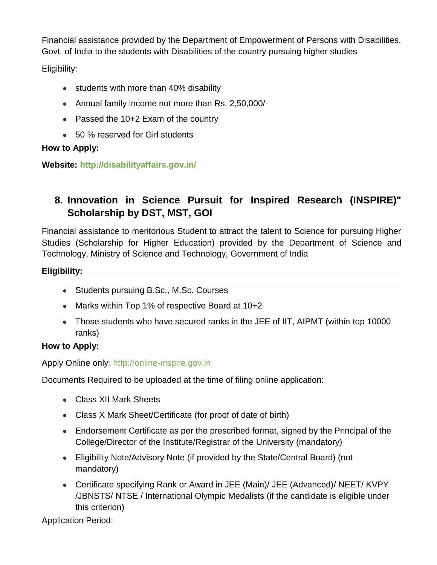Financial assistance provided by the Department of Empowerment of Persons with Disabilities, Govt. of India to the students with Disabilities of the country pursuing higher studies

Eligibility:

- students with more than 40% disability
- Annual family income not more than Rs. 2,50,000/-
- Passed the 10+2 Exam of the country
- 50 % reserved for Girl students

### **How to Apply:**

**Website:<http://disabilityaffairs.gov.in/>**

# **8. Innovation in Science Pursuit for Inspired Research (INSPIRE)" Scholarship by DST, MST, GOI**

Financial assistance to meritorious Student to attract the talent to Science for pursuing Higher Studies (Scholarship for Higher Education) provided by the Department of Science and Technology, Ministry of Science and Technology, Government of India

### **Eligibility:**

- Students pursuing B.Sc., M.Sc. Courses
- Marks within Top 1% of respective Board at 10+2
- Those students who have secured ranks in the JEE of IIT, AIPMT (within top 10000 ranks)

### **How to Apply:**

Apply Online only: [http://online-inspire.gov.in](http://online-inspire.gov.in/)

Documents Required to be uploaded at the time of filing online application:

- Class XII Mark Sheets
- Class X Mark Sheet/Certificate (for proof of date of birth)
- Endorsement Certificate as per the prescribed format, signed by the Principal of the College/Director of the Institute/Registrar of the University (mandatory)
- Eligibility Note/Advisory Note (if provided by the State/Central Board) (not mandatory)
- Certificate specifying Rank or Award in JEE (Main)/ JEE (Advanced)/ NEET/ KVPY /JBNSTS/ NTSE / International Olympic Medalists (if the candidate is eligible under this criterion)

Application Period: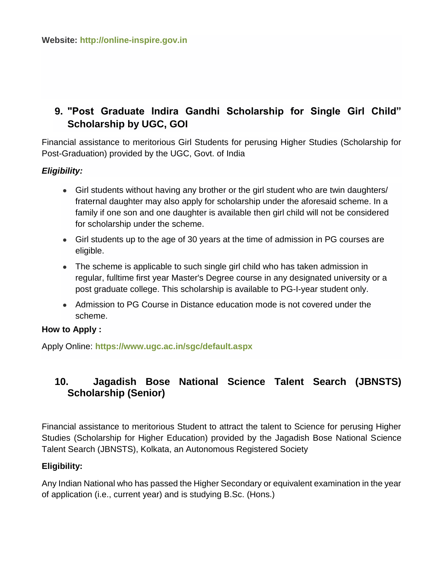# **9. "Post Graduate Indira Gandhi Scholarship for Single Girl Child" Scholarship by UGC, GOI**

Financial assistance to meritorious Girl Students for perusing Higher Studies (Scholarship for Post-Graduation) provided by the UGC, Govt. of India

### *Eligibility:*

- Girl students without having any brother or the girl student who are twin daughters/ fraternal daughter may also apply for scholarship under the aforesaid scheme. In a family if one son and one daughter is available then girl child will not be considered for scholarship under the scheme.
- Girl students up to the age of 30 years at the time of admission in PG courses are eligible.
- The scheme is applicable to such single girl child who has taken admission in regular, fulltime first year Master's Degree course in any designated university or a post graduate college. This scholarship is available to PG-I-year student only.
- Admission to PG Course in Distance education mode is not covered under the scheme.

### **How to Apply :**

Apply Online: **<https://www.ugc.ac.in/sgc/default.aspx>**

# **10. Jagadish Bose National Science Talent Search (JBNSTS) Scholarship (Senior)**

Financial assistance to meritorious Student to attract the talent to Science for perusing Higher Studies (Scholarship for Higher Education) provided by the Jagadish Bose National Science Talent Search (JBNSTS), Kolkata, an Autonomous Registered Society

#### **Eligibility:**

Any Indian National who has passed the Higher Secondary or equivalent examination in the year of application (i.e., current year) and is studying B.Sc. (Hons.)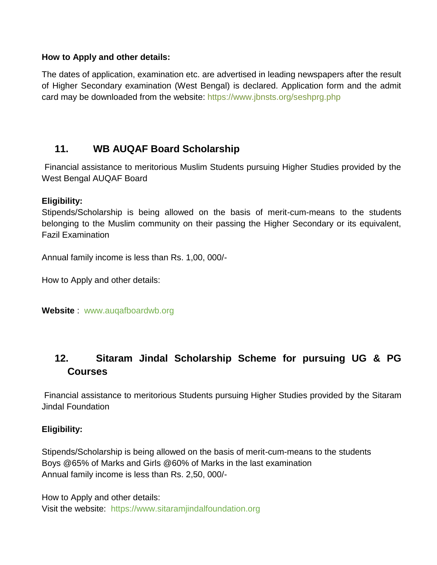#### **How to Apply and other details:**

The dates of application, examination etc. are advertised in leading newspapers after the result of Higher Secondary examination (West Bengal) is declared. Application form and the admit card may be downloaded from the website:<https://www.jbnsts.org/seshprg.php>

# **11. WB AUQAF Board Scholarship**

Financial assistance to meritorious Muslim Students pursuing Higher Studies provided by the West Bengal AUQAF Board

### **Eligibility:**

Stipends/Scholarship is being allowed on the basis of merit-cum-means to the students belonging to the Muslim community on their passing the Higher Secondary or its equivalent, Fazil Examination

Annual family income is less than Rs. 1,00, 000/-

How to Apply and other details:

**Website** : [www.auqafboardwb.org](http://www.auqafboardwb.org/)

# **12. Sitaram Jindal Scholarship Scheme for pursuing UG & PG Courses**

Financial assistance to meritorious Students pursuing Higher Studies provided by the Sitaram Jindal Foundation

### **Eligibility:**

Stipends/Scholarship is being allowed on the basis of merit-cum-means to the students Boys @65% of Marks and Girls @60% of Marks in the last examination Annual family income is less than Rs. 2,50, 000/-

How to Apply and other details: Visit the website: [https://www.sitaramjindalfoundation.org](https://www.sitaramjindalfoundation.org/)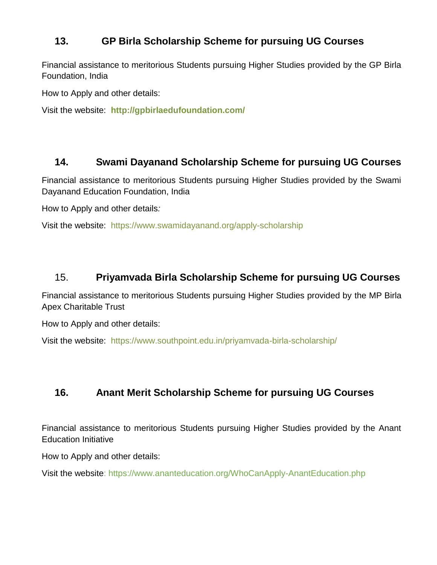# **13. GP Birla Scholarship Scheme for pursuing UG Courses**

Financial assistance to meritorious Students pursuing Higher Studies provided by the GP Birla Foundation, India

How to Apply and other details:

Visit the website: **<http://gpbirlaedufoundation.com/>**

### **14. Swami Dayanand Scholarship Scheme for pursuing UG Courses**

Financial assistance to meritorious Students pursuing Higher Studies provided by the Swami Dayanand Education Foundation, India

How to Apply and other details*:*

Visit the website: <https://www.swamidayanand.org/apply-scholarship>

### 15. **Priyamvada Birla Scholarship Scheme for pursuing UG Courses**

Financial assistance to meritorious Students pursuing Higher Studies provided by the MP Birla Apex Charitable Trust

How to Apply and other details:

Visit the website: <https://www.southpoint.edu.in/priyamvada-birla-scholarship/>

# **16. Anant Merit Scholarship Scheme for pursuing UG Courses**

Financial assistance to meritorious Students pursuing Higher Studies provided by the Anant Education Initiative

How to Apply and other details:

Visit the website:<https://www.ananteducation.org/WhoCanApply-AnantEducation.php>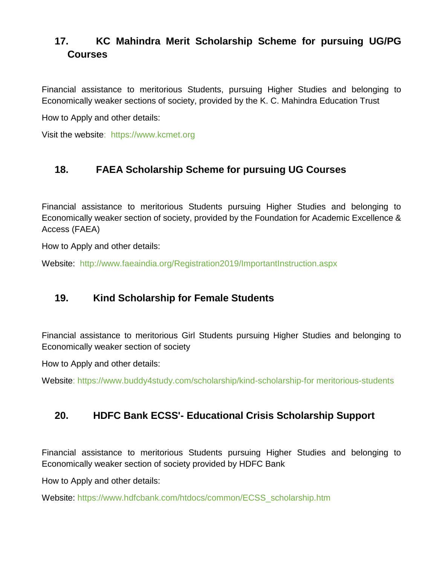# **17. KC Mahindra Merit Scholarship Scheme for pursuing UG/PG Courses**

Financial assistance to meritorious Students, pursuing Higher Studies and belonging to Economically weaker sections of society, provided by the K. C. Mahindra Education Trust

How to Apply and other details:

Visit the website: [https://www.kcmet.org](https://www.kcmet.org/)

# **18. FAEA Scholarship Scheme for pursuing UG Courses**

Financial assistance to meritorious Students pursuing Higher Studies and belonging to Economically weaker section of society, provided by the Foundation for Academic Excellence & Access (FAEA)

How to Apply and other details:

Website: <http://www.faeaindia.org/Registration2019/ImportantInstruction.aspx>

# **19. Kind Scholarship for Female Students**

Financial assistance to meritorious Girl Students pursuing Higher Studies and belonging to Economically weaker section of society

How to Apply and other details:

Website: [https://www.buddy4study.com/scholarship/kind-scholarship-for meritorious-students](https://www.buddy4study.com/scholarship/kind-scholarship-for%20meritorious-students)

# **20. HDFC Bank ECSS'- Educational Crisis Scholarship Support**

Financial assistance to meritorious Students pursuing Higher Studies and belonging to Economically weaker section of society provided by HDFC Bank

How to Apply and other details:

Website: [https://www.hdfcbank.com/htdocs/common/ECSS\\_scholarship.htm](https://www.hdfcbank.com/htdocs/common/ECSS_scholarship.htm)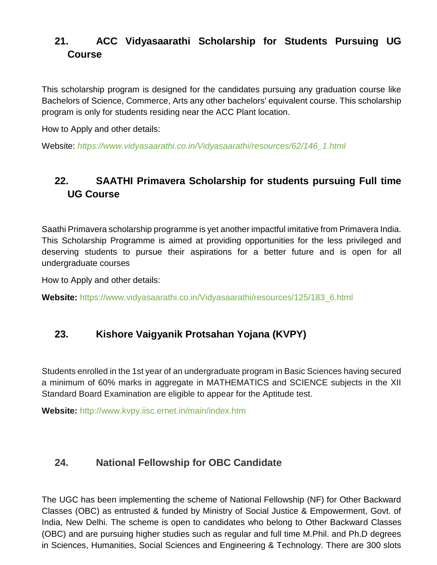# **21. ACC Vidyasaarathi Scholarship for Students Pursuing UG Course**

This scholarship program is designed for the candidates pursuing any graduation course like Bachelors of Science, Commerce, Arts any other bachelors' equivalent course. This scholarship program is only for students residing near the ACC Plant location.

How to Apply and other details:

Website: *[https://www.vidyasaarathi.co.in/Vidyasaarathi/resources/62/146\\_1.html](https://www.vidyasaarathi.co.in/Vidyasaarathi/resources/62/146_1.html)*

# **22. SAATHI Primavera Scholarship for students pursuing Full time UG Course**

Saathi Primavera scholarship programme is yet another impactful imitative from Primavera India. This Scholarship Programme is aimed at providing opportunities for the less privileged and deserving students to pursue their aspirations for a better future and is open for all undergraduate courses

How to Apply and other details:

**Website:** [https://www.vidyasaarathi.co.in/Vidyasaarathi/resources/125/183\\_6.html](https://www.vidyasaarathi.co.in/Vidyasaarathi/resources/125/183_6.html)

# **23. Kishore Vaigyanik Protsahan Yojana (KVPY)**

Students enrolled in the 1st year of an undergraduate program in Basic Sciences having secured a minimum of 60% marks in aggregate in MATHEMATICS and SCIENCE subjects in the XII Standard Board Examination are eligible to appear for the Aptitude test.

**Website:** <http://www.kvpy.iisc.ernet.in/main/index.htm>

### **24. National Fellowship for OBC Candidate**

The UGC has been implementing the scheme of National Fellowship (NF) for Other Backward Classes (OBC) as entrusted & funded by Ministry of Social Justice & Empowerment, Govt. of India, New Delhi. The scheme is open to candidates who belong to Other Backward Classes (OBC) and are pursuing higher studies such as regular and full time M.Phil. and Ph.D degrees in Sciences, Humanities, Social Sciences and Engineering & Technology. There are 300 slots